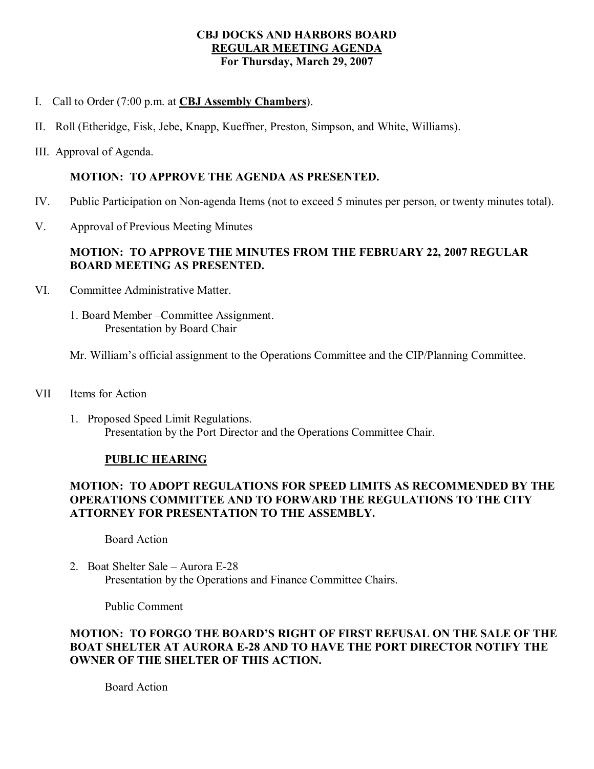## **CBJ DOCKS AND HARBORS BOARD REGULAR MEETING AGENDA For Thursday, March 29, 2007**

- I. Call to Order (7:00 p.m. at **CBJ Assembly Chambers**).
- II. Roll (Etheridge, Fisk, Jebe, Knapp, Kueffner, Preston, Simpson, and White, Williams).
- III. Approval of Agenda.

### **MOTION: TO APPROVE THE AGENDA AS PRESENTED.**

- IV. Public Participation on Non-agenda Items (not to exceed 5 minutes per person, or twenty minutes total).
- V. Approval of Previous Meeting Minutes

# **MOTION: TO APPROVE THE MINUTES FROM THE FEBRUARY 22, 2007 REGULAR BOARD MEETING AS PRESENTED.**

- VI. Committee Administrative Matter.
	- 1. Board Member –Committee Assignment. Presentation by Board Chair
	- Mr. William's official assignment to the Operations Committee and the CIP/Planning Committee.
- VII Items for Action
	- 1. Proposed Speed Limit Regulations. Presentation by the Port Director and the Operations Committee Chair.

#### **PUBLIC HEARING**

# **MOTION: TO ADOPT REGULATIONS FOR SPEED LIMITS AS RECOMMENDED BY THE OPERATIONS COMMITTEE AND TO FORWARD THE REGULATIONS TO THE CITY ATTORNEY FOR PRESENTATION TO THE ASSEMBLY.**

Board Action

2. Boat Shelter Sale – Aurora E-28 Presentation by the Operations and Finance Committee Chairs.

Public Comment

## **MOTION: TO FORGO THE BOARD'S RIGHT OF FIRST REFUSAL ON THE SALE OF THE BOAT SHELTER AT AURORA E28 AND TO HAVE THE PORT DIRECTOR NOTIFY THE OWNER OF THE SHELTER OF THIS ACTION.**

Board Action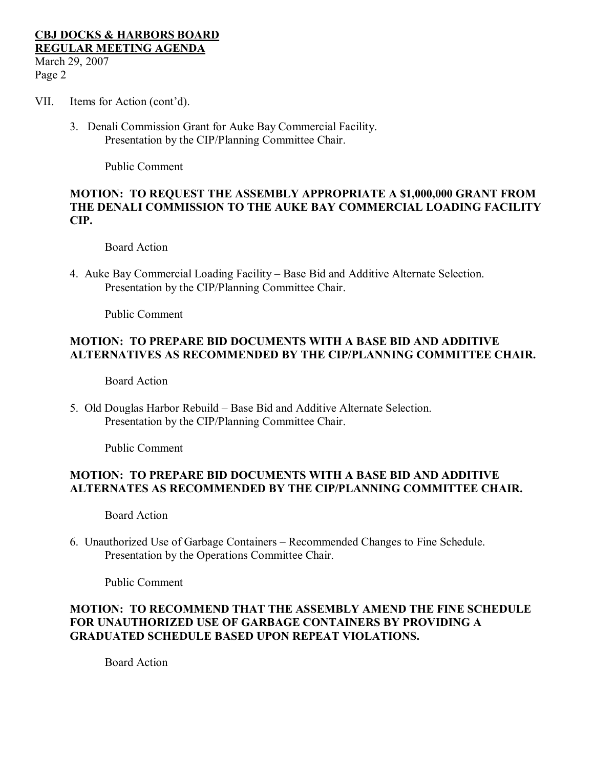#### **CBJ DOCKS & HARBORS BOARD REGULAR MEETING AGENDA** March 29, 2007 Page 2

- VII. Items for Action (cont'd).
	- 3. Denali Commission Grant for Auke Bay Commercial Facility. Presentation by the CIP/Planning Committee Chair.

Public Comment

#### **MOTION: TO REQUEST THE ASSEMBLY APPROPRIATE A \$1,000,000 GRANT FROM THE DENALI COMMISSION TO THE AUKE BAY COMMERCIAL LOADING FACILITY CIP.**

Board Action

4. Auke Bay Commercial Loading Facility – Base Bid and Additive Alternate Selection. Presentation by the CIP/Planning Committee Chair.

Public Comment

## **MOTION: TO PREPARE BID DOCUMENTS WITH A BASE BID AND ADDITIVE ALTERNATIVES AS RECOMMENDED BY THE CIP/PLANNING COMMITTEE CHAIR.**

Board Action

5. Old Douglas Harbor Rebuild – Base Bid and Additive Alternate Selection. Presentation by the CIP/Planning Committee Chair.

Public Comment

## **MOTION: TO PREPARE BID DOCUMENTS WITH A BASE BID AND ADDITIVE ALTERNATES AS RECOMMENDED BY THE CIP/PLANNING COMMITTEE CHAIR.**

Board Action

6. Unauthorized Use of Garbage Containers – Recommended Changes to Fine Schedule. Presentation by the Operations Committee Chair.

Public Comment

# **MOTION: TO RECOMMEND THAT THE ASSEMBLY AMEND THE FINE SCHEDULE FOR UNAUTHORIZED USE OF GARBAGE CONTAINERS BY PROVIDING A GRADUATED SCHEDULE BASED UPON REPEAT VIOLATIONS.**

Board Action